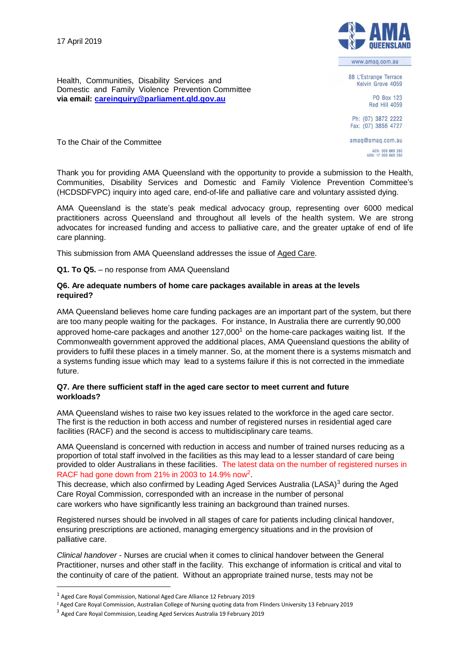

To the Chair of the Committee



www.amaq.com.au

88 L'Estrange Terrace Kelvin Grove 4059

PO Box 123 Red Hill 4059

Ph: (07) 3872 2222 Fax: (07) 3856 4727

amaq@amaq.com.au ACN: 009 660 280

Thank you for providing AMA Queensland with the opportunity to provide a submission to the Health, Communities, Disability Services and Domestic and Family Violence Prevention Committee's (HCDSDFVPC) inquiry into aged care, end-of-life and palliative care and voluntary assisted dying.

AMA Queensland is the state's peak medical advocacy group, representing over 6000 medical practitioners across Queensland and throughout all levels of the health system. We are strong advocates for increased funding and access to palliative care, and the greater uptake of end of life care planning.

This submission from AMA Queensland addresses the issue of Aged Care.

**Q1. To Q5.** – no response from AMA Queensland

## **Q6. Are adequate numbers of home care packages available in areas at the levels required?**

AMA Queensland believes home care funding packages are an important part of the system, but there are too many people waiting for the packages. For instance, In Australia there are currently 90,000 approved home-care packages and another  $127,000<sup>1</sup>$  on the home-care packages waiting list. If the Commonwealth government approved the additional places, AMA Queensland questions the ability of providers to fulfil these places in a timely manner. So, at the moment there is a systems mismatch and a systems funding issue which may lead to a systems failure if this is not corrected in the immediate future.

### **Q7. Are there sufficient staff in the aged care sector to meet current and future workloads?**

AMA Queensland wishes to raise two key issues related to the workforce in the aged care sector. The first is the reduction in both access and number of registered nurses in residential aged care facilities (RACF) and the second is access to multidisciplinary care teams.

AMA Queensland is concerned with reduction in access and number of trained nurses reducing as a proportion of total staff involved in the facilities as this may lead to a lesser standard of care being provided to older Australians in these facilities. The latest data on the number of registered nurses in RACF had gone down from 21% in 2003 to 14.9% now<sup>2</sup>.

This decrease, which also confirmed by Leading Aged Services Australia (LASA)<sup>3</sup> during the Aged Care Royal Commission, corresponded with an increase in the number of personal care workers who have significantly less training an background than trained nurses.

Registered nurses should be involved in all stages of care for patients including clinical handover, ensuring prescriptions are actioned, managing emergency situations and in the provision of palliative care.

*Clinical handover* - Nurses are crucial when it comes to clinical handover between the General Practitioner, nurses and other staff in the facility. This exchange of information is critical and vital to the continuity of care of the patient. Without an appropriate trained nurse, tests may not be

<sup>1</sup> Aged Care Royal Commission, National Aged Care Alliance 12 February 2019

<sup>2</sup> Aged Care Royal Commission, Australian College of Nursing quoting data from Flinders University 13 February 2019

<sup>3</sup> Aged Care Royal Commission, Leading Aged Services Australia 19 February 2019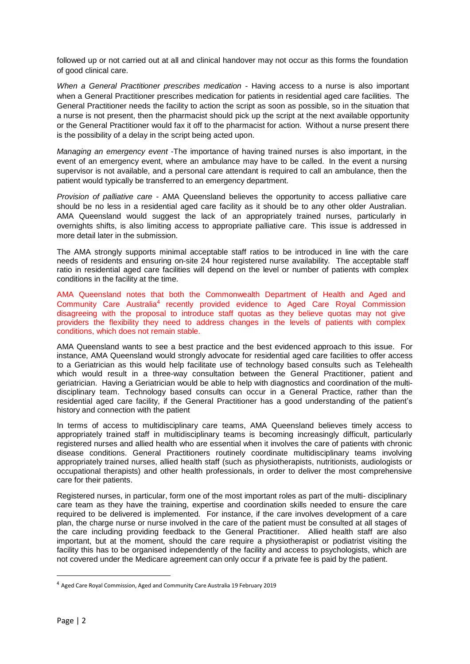followed up or not carried out at all and clinical handover may not occur as this forms the foundation of good clinical care.

*When a General Practitioner prescribes medication -* Having access to a nurse is also important when a General Practitioner prescribes medication for patients in residential aged care facilities. The General Practitioner needs the facility to action the script as soon as possible, so in the situation that a nurse is not present, then the pharmacist should pick up the script at the next available opportunity or the General Practitioner would fax it off to the pharmacist for action. Without a nurse present there is the possibility of a delay in the script being acted upon.

*Managing an emergency event* -The importance of having trained nurses is also important, in the event of an emergency event, where an ambulance may have to be called. In the event a nursing supervisor is not available, and a personal care attendant is required to call an ambulance, then the patient would typically be transferred to an emergency department.

*Provision of palliative care* - AMA Queensland believes the opportunity to access palliative care should be no less in a residential aged care facility as it should be to any other older Australian. AMA Queensland would suggest the lack of an appropriately trained nurses, particularly in overnights shifts, is also limiting access to appropriate palliative care. This issue is addressed in more detail later in the submission.

The AMA strongly supports minimal acceptable staff ratios to be introduced in line with the care needs of residents and ensuring on-site 24 hour registered nurse availability. The acceptable staff ratio in residential aged care facilities will depend on the level or number of patients with complex conditions in the facility at the time.

AMA Queensland notes that both the Commonwealth Department of Health and Aged and Community Care Australia<sup>4</sup> recently provided evidence to Aged Care Royal Commission disagreeing with the proposal to introduce staff quotas as they believe quotas may not give providers the flexibility they need to address changes in the levels of patients with complex conditions, which does not remain stable.

AMA Queensland wants to see a best practice and the best evidenced approach to this issue. For instance, AMA Queensland would strongly advocate for residential aged care facilities to offer access to a Geriatrician as this would help facilitate use of technology based consults such as Telehealth which would result in a three-way consultation between the General Practitioner, patient and geriatrician. Having a Geriatrician would be able to help with diagnostics and coordination of the multidisciplinary team. Technology based consults can occur in a General Practice, rather than the residential aged care facility, if the General Practitioner has a good understanding of the patient's history and connection with the patient

In terms of access to multidisciplinary care teams, AMA Queensland believes timely access to appropriately trained staff in multidisciplinary teams is becoming increasingly difficult, particularly registered nurses and allied health who are essential when it involves the care of patients with chronic disease conditions. General Practitioners routinely coordinate multidisciplinary teams involving appropriately trained nurses, allied health staff (such as physiotherapists, nutritionists, audiologists or occupational therapists) and other health professionals, in order to deliver the most comprehensive care for their patients.

Registered nurses, in particular, form one of the most important roles as part of the multi- disciplinary care team as they have the training, expertise and coordination skills needed to ensure the care required to be delivered is implemented. For instance, if the care involves development of a care plan, the charge nurse or nurse involved in the care of the patient must be consulted at all stages of the care including providing feedback to the General Practitioner. Allied health staff are also important, but at the moment, should the care require a physiotherapist or podiatrist visiting the facility this has to be organised independently of the facility and access to psychologists, which are not covered under the Medicare agreement can only occur if a private fee is paid by the patient.

<sup>4</sup> Aged Care Royal Commission, Aged and Community Care Australia 19 February 2019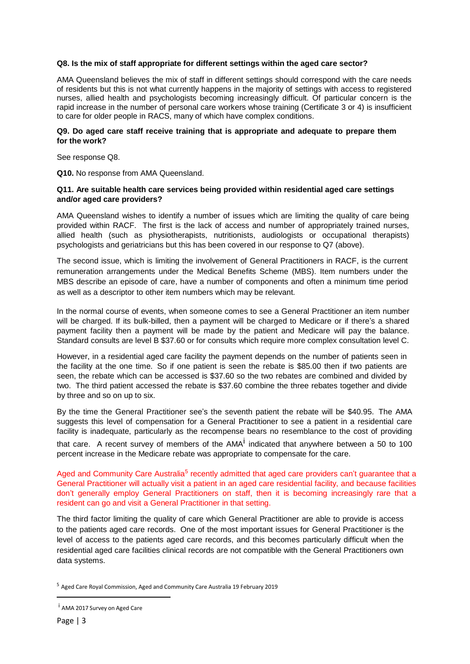## **Q8. Is the mix of staff appropriate for different settings within the aged care sector?**

AMA Queensland believes the mix of staff in different settings should correspond with the care needs of residents but this is not what currently happens in the majority of settings with access to registered nurses, allied health and psychologists becoming increasingly difficult. Of particular concern is the rapid increase in the number of personal care workers whose training (Certificate 3 or 4) is insufficient to care for older people in RACS, many of which have complex conditions.

#### **Q9. Do aged care staff receive training that is appropriate and adequate to prepare them for the work?**

See response Q8.

**Q10.** No response from AMA Queensland.

## **Q11. Are suitable health care services being provided within residential aged care settings and/or aged care providers?**

AMA Queensland wishes to identify a number of issues which are limiting the quality of care being provided within RACF. The first is the lack of access and number of appropriately trained nurses, allied health (such as physiotherapists, nutritionists, audiologists or occupational therapists) psychologists and geriatricians but this has been covered in our response to Q7 (above).

The second issue, which is limiting the involvement of General Practitioners in RACF, is the current remuneration arrangements under the Medical Benefits Scheme (MBS). Item numbers under the MBS describe an episode of care, have a number of components and often a minimum time period as well as a descriptor to other item numbers which may be relevant.

In the normal course of events, when someone comes to see a General Practitioner an item number will be charged. If its bulk-billed, then a payment will be charged to Medicare or if there's a shared payment facility then a payment will be made by the patient and Medicare will pay the balance. Standard consults are level B \$37.60 or for consults which require more complex consultation level C.

However, in a residential aged care facility the payment depends on the number of patients seen in the facility at the one time. So if one patient is seen the rebate is \$85.00 then if two patients are seen, the rebate which can be accessed is \$37.60 so the two rebates are combined and divided by two. The third patient accessed the rebate is \$37.60 combine the three rebates together and divide by three and so on up to six.

By the time the General Practitioner see's the seventh patient the rebate will be \$40.95. The AMA suggests this level of compensation for a General Practitioner to see a patient in a residential care facility is inadequate, particularly as the recompense bears no resemblance to the cost of providing

that care. A recent survey of members of the AMA<sup>i</sup> indicated that anywhere between a 50 to 100 percent increase in the Medicare rebate was appropriate to compensate for the care.

Aged and Community Care Australia<sup>5</sup> recently admitted that aged care providers can't guarantee that a General Practitioner will actually visit a patient in an aged care residential facility, and because facilities don't generally employ General Practitioners on staff, then it is becoming increasingly rare that a resident can go and visit a General Practitioner in that setting.

The third factor limiting the quality of care which General Practitioner are able to provide is access to the patients aged care records. One of the most important issues for General Practitioner is the level of access to the patients aged care records, and this becomes particularly difficult when the residential aged care facilities clinical records are not compatible with the General Practitioners own data systems.

<sup>5</sup> Aged Care Royal Commission, Aged and Community Care Australia 19 February 2019

<sup>&</sup>lt;sup>i</sup> AMA 2017 Survey on Aged Care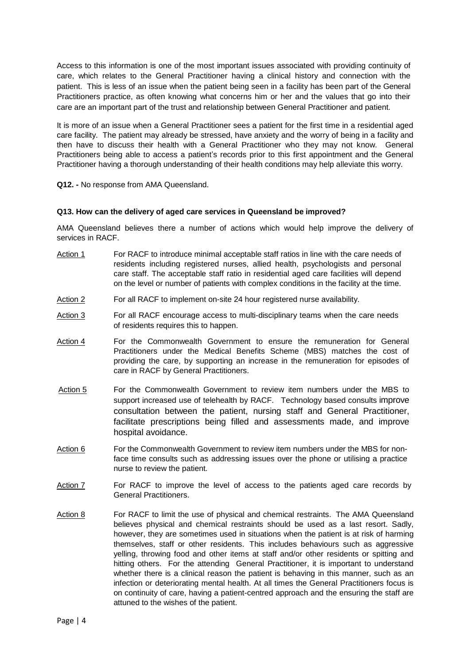Access to this information is one of the most important issues associated with providing continuity of care, which relates to the General Practitioner having a clinical history and connection with the patient. This is less of an issue when the patient being seen in a facility has been part of the General Practitioners practice, as often knowing what concerns him or her and the values that go into their care are an important part of the trust and relationship between General Practitioner and patient.

It is more of an issue when a General Practitioner sees a patient for the first time in a residential aged care facility. The patient may already be stressed, have anxiety and the worry of being in a facility and then have to discuss their health with a General Practitioner who they may not know. General Practitioners being able to access a patient's records prior to this first appointment and the General Practitioner having a thorough understanding of their health conditions may help alleviate this worry.

**Q12. -** No response from AMA Queensland.

### **Q13. How can the delivery of aged care services in Queensland be improved?**

AMA Queensland believes there a number of actions which would help improve the delivery of services in RACF.

- Action 1 For RACF to introduce minimal acceptable staff ratios in line with the care needs of residents including registered nurses, allied health, psychologists and personal care staff. The acceptable staff ratio in residential aged care facilities will depend on the level or number of patients with complex conditions in the facility at the time.
- Action 2 For all RACF to implement on-site 24 hour registered nurse availability.
- Action 3 For all RACF encourage access to multi-disciplinary teams when the care needs of residents requires this to happen.
- Action 4 For the Commonwealth Government to ensure the remuneration for General Practitioners under the Medical Benefits Scheme (MBS) matches the cost of providing the care, by supporting an increase in the remuneration for episodes of care in RACF by General Practitioners.
- Action 5 For the Commonwealth Government to review item numbers under the MBS to support increased use of telehealth by RACF. Technology based consults improve consultation between the patient, nursing staff and General Practitioner, facilitate prescriptions being filled and assessments made, and improve hospital avoidance.
- Action 6 For the Commonwealth Government to review item numbers under the MBS for nonface time consults such as addressing issues over the phone or utilising a practice nurse to review the patient.
- Action 7 For RACF to improve the level of access to the patients aged care records by General Practitioners.
- Action 8 For RACF to limit the use of physical and chemical restraints. The AMA Queensland believes physical and chemical restraints should be used as a last resort. Sadly, however, they are sometimes used in situations when the patient is at risk of harming themselves, staff or other residents. This includes behaviours such as aggressive yelling, throwing food and other items at staff and/or other residents or spitting and hitting others. For the attending General Practitioner, it is important to understand whether there is a clinical reason the patient is behaving in this manner, such as an infection or deteriorating mental health. At all times the General Practitioners focus is on continuity of care, having a patient-centred approach and the ensuring the staff are attuned to the wishes of the patient.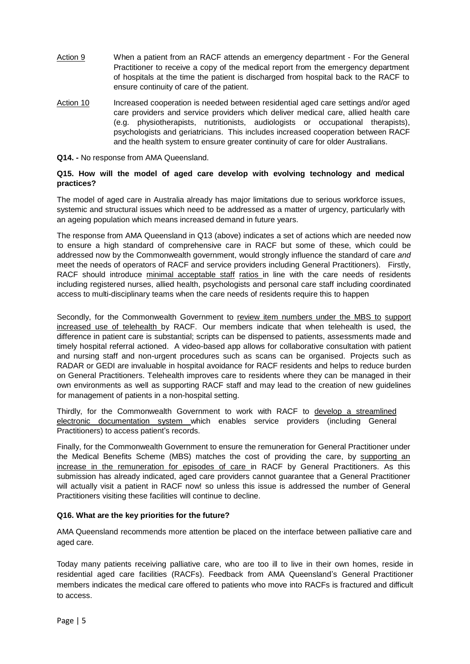- Action 9 When a patient from an RACF attends an emergency department For the General Practitioner to receive a copy of the medical report from the emergency department of hospitals at the time the patient is discharged from hospital back to the RACF to ensure continuity of care of the patient.
- Action 10 Increased cooperation is needed between residential aged care settings and/or aged care providers and service providers which deliver medical care, allied health care (e.g. physiotherapists, nutritionists, audiologists or occupational therapists), psychologists and geriatricians. This includes increased cooperation between RACF and the health system to ensure greater continuity of care for older Australians.
- **Q14. -** No response from AMA Queensland.

# **Q15. How will the model of aged care develop with evolving technology and medical practices?**

The model of aged care in Australia already has major limitations due to serious workforce issues, systemic and structural issues which need to be addressed as a matter of urgency, particularly with an ageing population which means increased demand in future years.

The response from AMA Queensland in Q13 (above) indicates a set of actions which are needed now to ensure a high standard of comprehensive care in RACF but some of these, which could be addressed now by the Commonwealth government, would strongly influence the standard of care *and* meet the needs of operators of RACF and service providers including General Practitioners). Firstly, RACF should introduce minimal acceptable staff ratios in line with the care needs of residents including registered nurses, allied health, psychologists and personal care staff including coordinated access to multi-disciplinary teams when the care needs of residents require this to happen

Secondly, for the Commonwealth Government to review item numbers under the MBS to support increased use of telehealth by RACF. Our members indicate that when telehealth is used, the difference in patient care is substantial; scripts can be dispensed to patients, assessments made and timely hospital referral actioned. A video-based app allows for collaborative consultation with patient and nursing staff and non-urgent procedures such as scans can be organised. Projects such as RADAR or GEDI are invaluable in hospital avoidance for RACF residents and helps to reduce burden on General Practitioners. Telehealth improves care to residents where they can be managed in their own environments as well as supporting RACF staff and may lead to the creation of new guidelines for management of patients in a non-hospital setting.

Thirdly, for the Commonwealth Government to work with RACF to develop a streamlined electronic documentation system which enables service providers (including General Practitioners) to access patient's records.

Finally, for the Commonwealth Government to ensure the remuneration for General Practitioner under the Medical Benefits Scheme (MBS) matches the cost of providing the care, by supporting an increase in the remuneration for episodes of care in RACF by General Practitioners. As this submission has already indicated, aged care providers cannot guarantee that a General Practitioner will actually visit a patient in RACF now! so unless this issue is addressed the number of General Practitioners visiting these facilities will continue to decline.

# **Q16. What are the key priorities for the future?**

AMA Queensland recommends more attention be placed on the interface between palliative care and aged care.

Today many patients receiving palliative care, who are too ill to live in their own homes, reside in residential aged care facilities (RACFs). Feedback from AMA Queensland's General Practitioner members indicates the medical care offered to patients who move into RACFs is fractured and difficult to access.